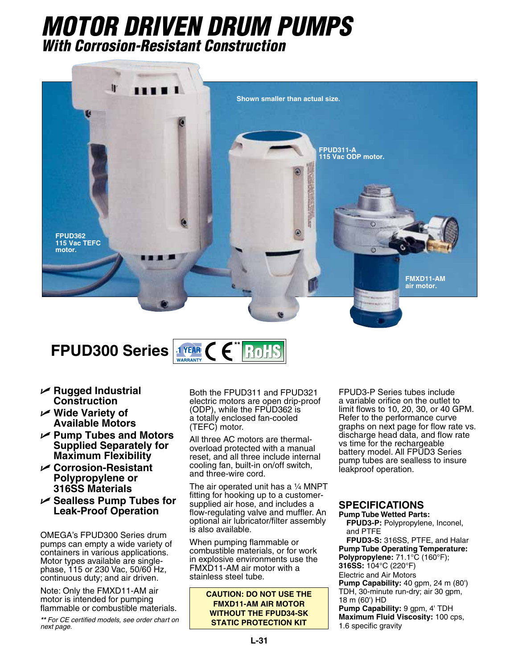# *MOTOR DRIVEN DRUM PUMPS With Corrosion-Resistant Construction*



## **FPUD300 Series <b># FRUD300** Series **#**  $\left( \begin{array}{c} 0 \\ 0 \end{array} \right)$ **RoHS**

- U **Rugged Industrial Construction**
- U **Wide Variety of Available Motors**
- U **Pump Tubes and Motors Supplied Separately for Maximum Flexibility**
- U **Corrosion-Resistant Polypropylene or 316SS Materials**
- U **Sealless Pump Tubes for Leak-Proof Operation**

OMEGA's FPUD300 Series drum pumps can empty a wide variety of containers in various applications. Motor types available are singlephase, 115 or 230 Vac, 50/60 Hz, continuous duty; and air driven.

Note: Only the FMXD11-AM air motor is intended for pumping flammable or combustible materials.

*\*\* For CE certified models, see order chart on next page.*

Both the FPUD311 and FPUD321 electric motors are open drip-proof (ODP), while the FPUD362 is a totally enclosed fan-cooled (TEFC) motor.

All three AC motors are thermaloverload protected with a manual reset, and all three include internal cooling fan, built-in on/off switch, and three-wire cord.

The air operated unit has a  $\frac{1}{4}$  MNPT fitting for hooking up to a customersupplied air hose, and includes a flow-regulating valve and muffler. An optional air lubricator/filter assembly is also available.

When pumping flammable or combustible materials, or for work in explosive environments use the FMXD11-AM air motor with a stainless steel tube.

> **CAUTION: DO NOT USE THE FMXD11-AM AIR MOTOR WITHOUT THE FPUD34-SK STATIC PROTECTION KIT**

FPUD3-P Series tubes include a variable orifice on the outlet to limit flows to 10, 20, 30, or 40 GPM. Refer to the performance curve graphs on next page for flow rate vs. discharge head data, and flow rate vs time for the rechargeable battery model. All FPUD3 Series pump tubes are sealless to insure leakproof operation.

## **SPECIFICATIONS**

**Pump Tube Wetted Parts: FPUD3-P:** Polypropylene, Inconel, and PTFE

**FPUD3-S:** 316SS, PTFE, and Halar **Pump Tube Operating Temperature: Polypropylene:** 71.1°C (160°F); **316SS:** 104°C (220°F) Electric and Air Motors **Pump Capability:** 40 gpm, 24 m (80') TDH, 30-minute run-dry; air 30 gpm, 18 m (60') HD **Pump Capability:** 9 gpm, 4' TDH **Maximum Fluid Viscosity:** 100 cps, 1.6 specific gravity